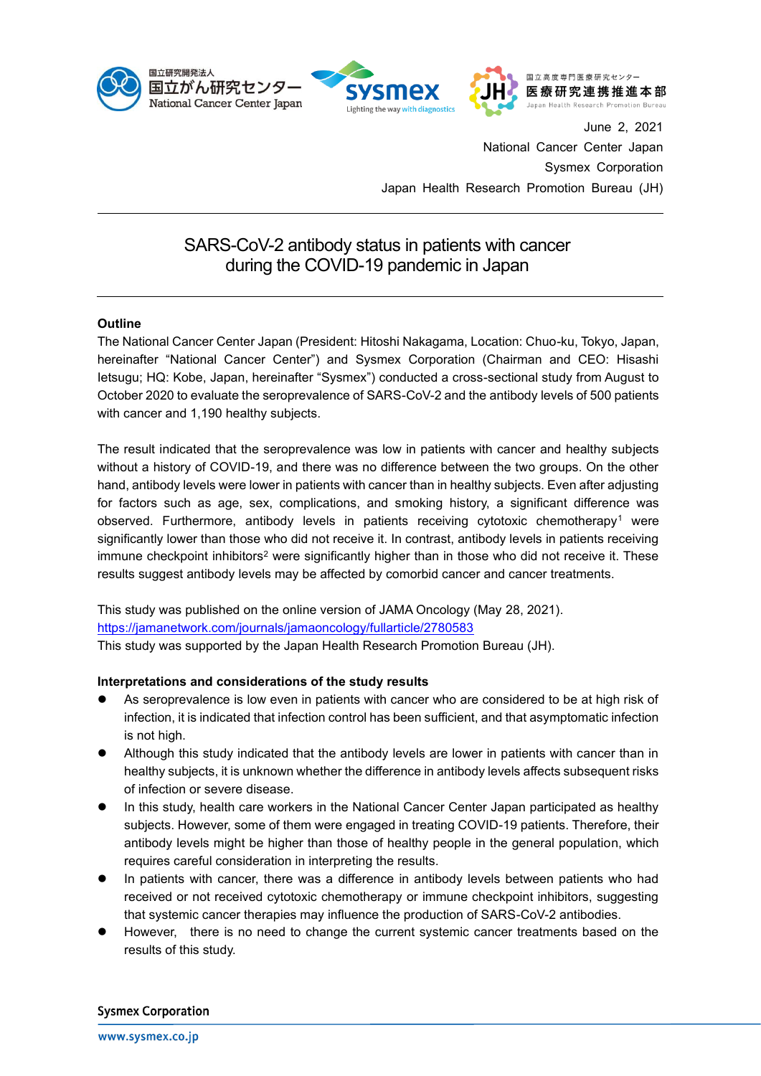





June 2, 2021 National Cancer Center Japan Sysmex Corporation Japan Health Research Promotion Bureau (JH)

# SARS-CoV-2 antibody status in patients with cancer during the COVID-19 pandemic in Japan

## **Outline**

The National Cancer Center Japan (President: Hitoshi Nakagama, Location: Chuo-ku, Tokyo, Japan, hereinafter "National Cancer Center") and Sysmex Corporation (Chairman and CEO: Hisashi Ietsugu; HQ: Kobe, Japan, hereinafter "Sysmex") conducted a cross-sectional study from August to October 2020 to evaluate the seroprevalence of SARS-CoV-2 and the antibody levels of 500 patients with cancer and 1,190 healthy subjects.

The result indicated that the seroprevalence was low in patients with cancer and healthy subjects without a history of COVID-19, and there was no difference between the two groups. On the other hand, antibody levels were lower in patients with cancer than in healthy subjects. Even after adjusting for factors such as age, sex, complications, and smoking history, a significant difference was observed. Furthermore, antibody levels in patients receiving cytotoxic chemotherapy<sup>1</sup> were significantly lower than those who did not receive it. In contrast, antibody levels in patients receiving immune checkpoint inhibitors<sup>2</sup> were significantly higher than in those who did not receive it. These results suggest antibody levels may be affected by comorbid cancer and cancer treatments.

This study was published on the online version of JAMA Oncology (May 28, 2021). <https://jamanetwork.com/journals/jamaoncology/fullarticle/2780583> This study was supported by the Japan Health Research Promotion Bureau (JH).

## **Interpretations and considerations of the study results**

- As seroprevalence is low even in patients with cancer who are considered to be at high risk of infection, it is indicated that infection control has been sufficient, and that asymptomatic infection is not high.
- ⚫ Although this study indicated that the antibody levels are lower in patients with cancer than in healthy subjects, it is unknown whether the difference in antibody levels affects subsequent risks of infection or severe disease.
- ⚫ In this study, health care workers in the National Cancer Center Japan participated as healthy subjects. However, some of them were engaged in treating COVID-19 patients. Therefore, their antibody levels might be higher than those of healthy people in the general population, which requires careful consideration in interpreting the results.
- In patients with cancer, there was a difference in antibody levels between patients who had received or not received cytotoxic chemotherapy or immune checkpoint inhibitors, suggesting that systemic cancer therapies may influence the production of SARS-CoV-2 antibodies.
- ⚫ However, there is no need to change the current systemic cancer treatments based on the results of this study.

#### **Sysmex Corporation**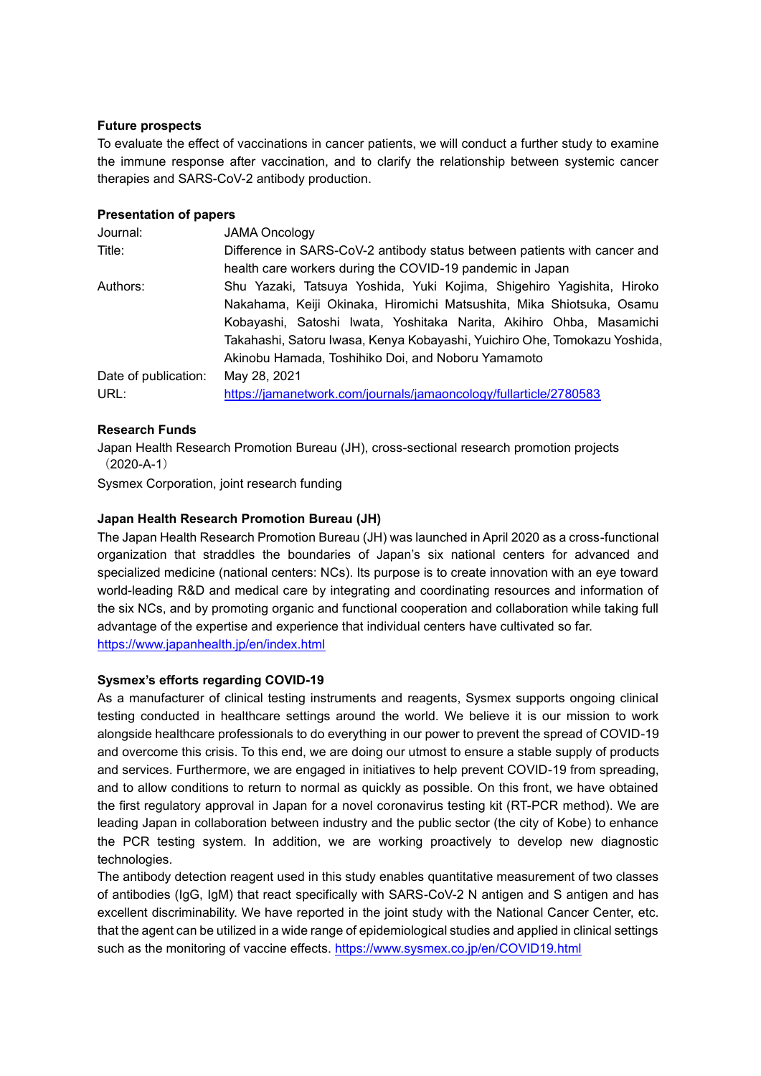### **Future prospects**

To evaluate the effect of vaccinations in cancer patients, we will conduct a further study to examine the immune response after vaccination, and to clarify the relationship between systemic cancer therapies and SARS-CoV-2 antibody production.

#### **Presentation of papers**

| Journal:             | <b>JAMA Oncology</b>                                                      |
|----------------------|---------------------------------------------------------------------------|
| Title:               | Difference in SARS-CoV-2 antibody status between patients with cancer and |
|                      | health care workers during the COVID-19 pandemic in Japan                 |
| Authors:             | Shu Yazaki, Tatsuya Yoshida, Yuki Kojima, Shigehiro Yagishita, Hiroko     |
|                      | Nakahama, Keiji Okinaka, Hiromichi Matsushita, Mika Shiotsuka, Osamu      |
|                      | Kobayashi, Satoshi Iwata, Yoshitaka Narita, Akihiro Ohba, Masamichi       |
|                      | Takahashi, Satoru lwasa, Kenya Kobayashi, Yuichiro Ohe, Tomokazu Yoshida, |
|                      | Akinobu Hamada, Toshihiko Doi, and Noboru Yamamoto                        |
| Date of publication: | May 28, 2021                                                              |
| URL:                 | https://jamanetwork.com/journals/jamaoncology/fullarticle/2780583         |

## **Research Funds**

Japan Health Research Promotion Bureau (JH), cross-sectional research promotion projects  $(2020-A-1)$ 

Sysmex Corporation, joint research funding

## **Japan Health Research Promotion Bureau (JH)**

The Japan Health Research Promotion Bureau (JH) was launched in April 2020 as a cross-functional organization that straddles the boundaries of Japan's six national centers for advanced and specialized medicine (national centers: NCs). Its purpose is to create innovation with an eye toward world-leading R&D and medical care by integrating and coordinating resources and information of the six NCs, and by promoting organic and functional cooperation and collaboration while taking full advantage of the expertise and experience that individual centers have cultivated so far. <https://www.japanhealth.jp/en/index.html>

## **Sysmex's efforts regarding COVID-19**

As a manufacturer of clinical testing instruments and reagents, Sysmex supports ongoing clinical testing conducted in healthcare settings around the world. We believe it is our mission to work alongside healthcare professionals to do everything in our power to prevent the spread of COVID-19 and overcome this crisis. To this end, we are doing our utmost to ensure a stable supply of products and services. Furthermore, we are engaged in initiatives to help prevent COVID-19 from spreading, and to allow conditions to return to normal as quickly as possible. On this front, we have obtained the first regulatory approval in Japan for a novel coronavirus testing kit (RT-PCR method). We are leading Japan in collaboration between industry and the public sector (the city of Kobe) to enhance the PCR testing system. In addition, we are working proactively to develop new diagnostic technologies.

The antibody detection reagent used in this study enables quantitative measurement of two classes of antibodies (IgG, IgM) that react specifically with SARS-CoV-2 N antigen and S antigen and has excellent discriminability. We have reported in the joint study with the National Cancer Center, etc. that the agent can be utilized in a wide range of epidemiological studies and applied in clinical settings such as the monitoring of vaccine effects. <https://www.sysmex.co.jp/en/COVID19.html>